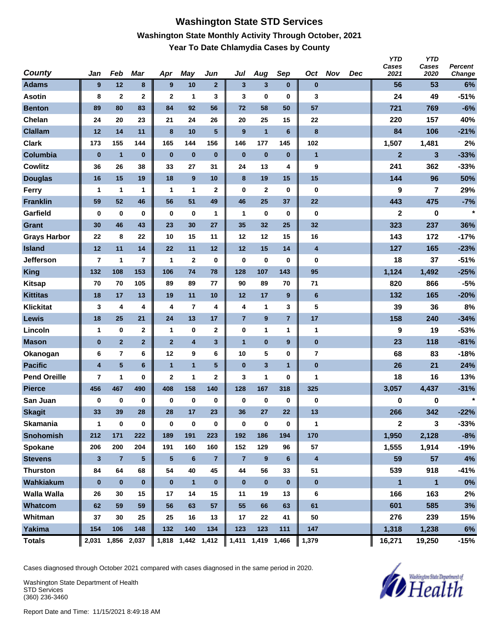#### **Washington State STD Services Washington State Monthly Activity Through October, 2021 Year To Date Chlamydia Cases by County**

| County              | Jan                     | Feb                     | Mar             | Apr            | May                     | Jun             | Jul                     | Aug                     | Sep              | Oct                     | <b>Nov</b> | Dec | <b>YTD</b><br>Cases<br>2021 | <b>YTD</b><br>Cases<br>2020 | <b>Percent</b><br>Change |
|---------------------|-------------------------|-------------------------|-----------------|----------------|-------------------------|-----------------|-------------------------|-------------------------|------------------|-------------------------|------------|-----|-----------------------------|-----------------------------|--------------------------|
| <b>Adams</b>        | 9                       | 12                      | 8               | 9              | 10                      | $\overline{2}$  | $\mathbf{3}$            | 3                       | $\bf{0}$         | $\bf{0}$                |            |     | 56                          | 53                          | 6%                       |
| <b>Asotin</b>       | 8                       | $\mathbf{2}$            | $\mathbf 2$     | $\mathbf{2}$   | 1                       | 3               | 3                       | 0                       | $\bf{0}$         | 3                       |            |     | 24                          | 49                          | $-51%$                   |
| <b>Benton</b>       | 89                      | 80                      | 83              | 84             | 92                      | 56              | 72                      | 58                      | 50               | 57                      |            |     | 721                         | 769                         | $-6%$                    |
| Chelan              | 24                      | 20                      | 23              | 21             | 24                      | 26              | 20                      | 25                      | 15               | 22                      |            |     | 220                         | 157                         | 40%                      |
| <b>Clallam</b>      | 12                      | 14                      | 11              | 8              | 10                      | 5               | 9                       | $\mathbf{1}$            | $6\phantom{1}$   | 8                       |            |     | 84                          | 106                         | $-21%$                   |
| <b>Clark</b>        | 173                     | 155                     | 144             | 165            | 144                     | 156             | 146                     | 177                     | 145              | 102                     |            |     | 1,507                       | 1,481                       | 2%                       |
| Columbia            | $\bf{0}$                | $\mathbf{1}$            | $\bf{0}$        | $\bf{0}$       | $\bf{0}$                | $\bf{0}$        | $\bf{0}$                | $\bf{0}$                | $\bf{0}$         | $\mathbf{1}$            |            |     | $\overline{2}$              | 3                           | $-33%$                   |
| <b>Cowlitz</b>      | 36                      | 26                      | 38              | 33             | 27                      | 31              | 24                      | 13                      | 4                | 9                       |            |     | 241                         | 362                         | $-33%$                   |
| <b>Douglas</b>      | 16                      | 15                      | 19              | 18             | 9                       | 10              | 8                       | 19                      | 15               | 15                      |            |     | 144                         | 96                          | 50%                      |
| <b>Ferry</b>        | 1                       | 1                       | 1               | 1              | 1                       | $\mathbf 2$     | $\bf{0}$                | $\mathbf 2$             | $\bf{0}$         | 0                       |            |     | 9                           | 7                           | 29%                      |
| <b>Franklin</b>     | 59                      | 52                      | 46              | 56             | 51                      | 49              | 46                      | 25                      | 37               | 22                      |            |     | 443                         | 475                         | $-7%$                    |
| Garfield            | $\bf{0}$                | 0                       | 0               | $\bf{0}$       | $\bf{0}$                | 1               | 1                       | 0                       | $\bf{0}$         | 0                       |            |     | $\overline{2}$              | 0                           | $\star$                  |
| <b>Grant</b>        | 30                      | 46                      | 43              | 23             | 30                      | 27              | 35                      | 32                      | 25               | 32                      |            |     | 323                         | 237                         | 36%                      |
| <b>Grays Harbor</b> | 22                      | 8                       | 22              | 10             | 15                      | 11              | 12                      | 12                      | 15               | 16                      |            |     | 143                         | 172                         | $-17%$                   |
| <b>Island</b>       | 12                      | 11                      | 14              | 22             | 11                      | 12              | $12$                    | 15                      | 14               | $\overline{\mathbf{4}}$ |            |     | 127                         | 165                         | $-23%$                   |
| <b>Jefferson</b>    | 7                       | 1                       | $\overline{7}$  | 1              | $\mathbf 2$             | $\bf{0}$        | $\bf{0}$                | 0                       | 0                | 0                       |            |     | 18                          | 37                          | $-51%$                   |
| <b>King</b>         | 132                     | 108                     | 153             | 106            | 74                      | 78              | 128                     | 107                     | 143              | 95                      |            |     | 1,124                       | 1,492                       | $-25%$                   |
| <b>Kitsap</b>       | 70                      | 70                      | 105             | 89             | 89                      | 77              | 90                      | 89                      | 70               | 71                      |            |     | 820                         | 866                         | $-5%$                    |
| <b>Kittitas</b>     | 18                      | 17                      | 13              | 19             | 11                      | 10              | 12                      | 17                      | 9                | $6\phantom{1}$          |            |     | 132                         | 165                         | $-20%$                   |
| <b>Klickitat</b>    | 3                       | 4                       | 4               | 4              | $\overline{\mathbf{r}}$ | 4               | 4                       | 1                       | 3                | 5                       |            |     | 39                          | 36                          | 8%                       |
| Lewis               | 18                      | 25                      | 21              | 24             | 13                      | 17              | $\overline{\mathbf{7}}$ | 9                       | $\overline{7}$   | 17                      |            |     | 158                         | 240                         | $-34%$                   |
| Lincoln             | 1                       | $\bf{0}$                | 2               | 1              | 0                       | $\mathbf 2$     | $\bf{0}$                | 1                       | 1                | 1                       |            |     | 9                           | 19                          | $-53%$                   |
| <b>Mason</b>        | $\bf{0}$                | $\overline{2}$          | $\overline{2}$  | $\overline{2}$ | $\overline{\mathbf{4}}$ | 3               | $\overline{1}$          | $\bf{0}$                | $\boldsymbol{9}$ | $\pmb{0}$               |            |     | 23                          | 118                         | $-81%$                   |
| Okanogan            | 6                       | $\overline{\mathbf{r}}$ | 6               | 12             | 9                       | 6               | 10                      | 5                       | $\bf{0}$         | $\overline{7}$          |            |     | 68                          | 83                          | $-18%$                   |
| <b>Pacific</b>      | $\overline{\mathbf{4}}$ | $5\phantom{.0}$         | $6\phantom{a}$  | $\mathbf{1}$   | $\overline{1}$          | $5\phantom{.0}$ | $\bf{0}$                | $\overline{\mathbf{3}}$ | $\mathbf{1}$     | $\pmb{0}$               |            |     | 26                          | 21                          | 24%                      |
| <b>Pend Oreille</b> | 7                       | 1                       | 0               | $\mathbf{2}$   | 1                       | $\mathbf 2$     | 3                       | 1                       | 0                | $\mathbf{1}$            |            |     | 18                          | 16                          | 13%                      |
| <b>Pierce</b>       | 456                     | 467                     | 490             | 408            | 158                     | 140             | 128                     | 167                     | 318              | 325                     |            |     | 3,057                       | 4,437                       | $-31%$                   |
| San Juan            | 0                       | 0                       | 0               | 0              | $\pmb{0}$               | $\bf{0}$        | 0                       | 0                       | $\bf{0}$         | 0                       |            |     | 0                           | 0                           | $\star$                  |
| <b>Skagit</b>       | 33                      | 39                      | 28              | 28             | 17                      | 23              | 36                      | 27                      | 22               | 13                      |            |     | 266                         | 342                         | $-22%$                   |
| <b>Skamania</b>     | $\mathbf{1}$            | $\pmb{0}$               | 0               | $\bf{0}$       | $\bf{0}$                | $\pmb{0}$       | $\bf{0}$                | 0                       | $\mathbf 0$      | $\mathbf{1}$            |            |     | $\mathbf 2$                 | 3                           | $-33%$                   |
| <b>Snohomish</b>    | 212                     | 171                     | 222             | 189            | 191                     | 223             | 192                     | 186                     | 194              | 170                     |            |     | 1,950                       | 2,128                       | $-8%$                    |
| Spokane             | 206                     | 200                     | 204             | 191            | 160                     | 160             | 152                     | 129                     | 96               | 57                      |            |     | 1,555                       | 1,914                       | $-19%$                   |
| <b>Stevens</b>      | $\mathbf{3}$            | $\overline{7}$          | $5\phantom{.0}$ | $\sqrt{5}$     | $\bf 6$                 | $\overline{7}$  | $\overline{7}$          | 9                       | 6                | $\overline{\mathbf{4}}$ |            |     | 59                          | 57                          | 4%                       |
| <b>Thurston</b>     | 84                      | 64                      | 68              | 54             | 40                      | 45              | 44                      | 56                      | 33               | 51                      |            |     | 539                         | 918                         | $-41%$                   |
| Wahkiakum           | $\bf{0}$                | $\bf{0}$                | $\mathbf{0}$    | $\bf{0}$       | $\mathbf{1}$            | $\bf{0}$        | $\bf{0}$                | $\pmb{0}$               | $\mathbf 0$      | $\bf{0}$                |            |     | $\blacksquare$              | $\mathbf{1}$                | $0\%$                    |
| <b>Walla Walla</b>  | 26                      | 30                      | 15              | 17             | 14                      | 15              | 11                      | 19                      | 13               | 6                       |            |     | 166                         | 163                         | 2%                       |
| Whatcom             | 62                      | 59                      | 59              | 56             | 63                      | 57              | 55                      | 66                      | 63               | 61                      |            |     | 601                         | 585                         | 3%                       |
| Whitman             | 37                      | 30                      | 25              | 25             | 16                      | 13              | 17                      | 22                      | 41               | 50                      |            |     | 276                         | 239                         | 15%                      |
| Yakima              | 154                     | 106                     | 148             | 132            | 140                     | 134             | 123                     | 123                     | 111              | 147                     |            |     | 1,318                       | 1,238                       | 6%                       |
| <b>Totals</b>       | 2,031                   |                         | 1,856 2,037     |                | 1,818 1,442 1,412       |                 |                         | 1,411 1,419 1,466       |                  | 1,379                   |            |     | 16,271                      | 19,250                      | $-15%$                   |

Cases diagnosed through October 2021 compared with cases diagnosed in the same period in 2020.

Washington State Department of Health STD Services (360) 236-3460

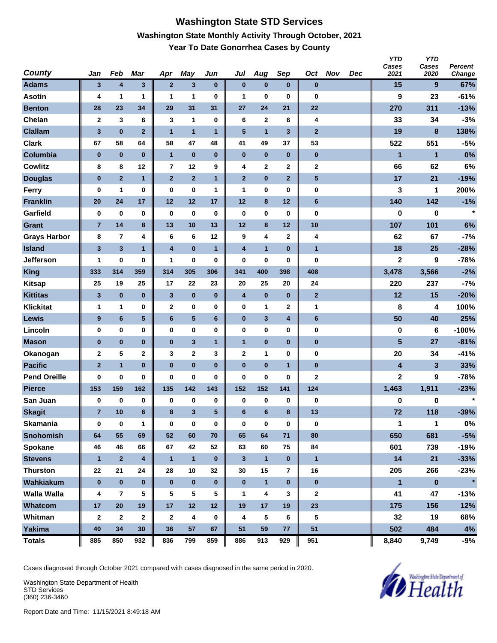#### **Washington State STD Services Washington State Monthly Activity Through October, 2021 Year To Date Gonorrhea Cases by County**

| <b>County</b>       | Jan                     | Feb                     | <b>Mar</b>              | Apr                     | May            | Jun          | Jul                     | Aug            | Sep            | Oct            | <b>Nov</b> | <b>Dec</b> | <b>YTD</b><br>Cases<br>2021 | <b>YTD</b><br>Cases<br>2020 | Percent<br>Change |
|---------------------|-------------------------|-------------------------|-------------------------|-------------------------|----------------|--------------|-------------------------|----------------|----------------|----------------|------------|------------|-----------------------------|-----------------------------|-------------------|
| <b>Adams</b>        | 3                       | 4                       | $\mathbf{3}$            | $\overline{2}$          | $\mathbf{3}$   | $\bf{0}$     | $\pmb{0}$               | $\pmb{0}$      | $\bf{0}$       | $\bf{0}$       |            |            | 15                          | 9                           | 67%               |
| <b>Asotin</b>       | 4                       | 1                       | 1                       | 1                       | 1              | 0            | 1                       | $\bf{0}$       | $\bf{0}$       | $\bf{0}$       |            |            | 9                           | 23                          | $-61%$            |
| <b>Benton</b>       | 28                      | 23                      | 34                      | 29                      | 31             | 31           | 27                      | 24             | 21             | 22             |            |            | 270                         | 311                         | $-13%$            |
| Chelan              | $\mathbf 2$             | 3                       | 6                       | 3                       | 1              | 0            | 6                       | $\mathbf 2$    | 6              | 4              |            |            | 33                          | 34                          | $-3%$             |
| <b>Clallam</b>      | $\overline{\mathbf{3}}$ | $\bf{0}$                | $\overline{2}$          | $\overline{1}$          | $\overline{1}$ | 1            | 5                       | $\overline{1}$ | $\mathbf{3}$   | $\overline{2}$ |            |            | 19                          | 8                           | 138%              |
| <b>Clark</b>        | 67                      | 58                      | 64                      | 58                      | 47             | 48           | 41                      | 49             | 37             | 53             |            |            | 522                         | 551                         | $-5%$             |
| Columbia            | $\bf{0}$                | $\pmb{0}$               | $\bf{0}$                | $\overline{1}$          | $\bf{0}$       | $\pmb{0}$    | $\bf{0}$                | $\bf{0}$       | $\bf{0}$       | $\pmb{0}$      |            |            | $\mathbf{1}$                | $\mathbf{1}$                | 0%                |
| <b>Cowlitz</b>      | 8                       | 8                       | 12                      | 7                       | 12             | 9            | 4                       | 2              | $\mathbf 2$    | 2              |            |            | 66                          | 62                          | 6%                |
| <b>Douglas</b>      | $\bf{0}$                | $\overline{2}$          | $\mathbf{1}$            | $\overline{2}$          | $\overline{2}$ | $\mathbf{1}$ | $\overline{2}$          | $\pmb{0}$      | $\mathbf{2}$   | 5              |            |            | 17                          | 21                          | $-19%$            |
| <b>Ferry</b>        | $\bf{0}$                | 1                       | $\bf{0}$                | 0                       | $\bf{0}$       | 1            | 1                       | 0              | 0              | 0              |            |            | 3                           | 1                           | 200%              |
| <b>Franklin</b>     | 20                      | 24                      | 17                      | 12                      | 12             | 17           | 12                      | 8              | 12             | 6              |            |            | 140                         | 142                         | $-1%$             |
| Garfield            | 0                       | $\bf{0}$                | $\bf{0}$                | $\bf{0}$                | $\bf{0}$       | 0            | $\bf{0}$                | 0              | $\bf{0}$       | $\bf{0}$       |            |            | 0                           | 0                           | $\star$           |
| <b>Grant</b>        | $\overline{7}$          | 14                      | 8                       | 13                      | 10             | 13           | 12                      | 8              | 12             | 10             |            |            | 107                         | 101                         | 6%                |
| <b>Grays Harbor</b> | 8                       | $\overline{7}$          | 4                       | 6                       | 6              | 12           | 9                       | 4              | $\mathbf{2}$   | 4              |            |            | 62                          | 67                          | $-7%$             |
| <b>Island</b>       | $\mathbf 3$             | 3                       | $\mathbf{1}$            | $\overline{\mathbf{4}}$ | $\bf{0}$       | $\mathbf{1}$ | $\overline{\mathbf{4}}$ | $\mathbf{1}$   | $\bf{0}$       | $\mathbf{1}$   |            |            | 18                          | 25                          | $-28%$            |
| <b>Jefferson</b>    | 1                       | 0                       | 0                       | 1                       | $\bf{0}$       | 0            | $\bf{0}$                | 0              | 0              | 0              |            |            | $\mathbf 2$                 | 9                           | $-78%$            |
| <b>King</b>         | 333                     | 314                     | 359                     | 314                     | 305            | 306          | 341                     | 400            | 398            | 408            |            |            | 3,478                       | 3,566                       | $-2%$             |
| <b>Kitsap</b>       | 25                      | 19                      | 25                      | 17                      | 22             | 23           | 20                      | 25             | 20             | 24             |            |            | 220                         | 237                         | $-7%$             |
| <b>Kittitas</b>     | 3                       | $\pmb{0}$               | $\bf{0}$                | 3                       | $\pmb{0}$      | $\pmb{0}$    | 4                       | $\pmb{0}$      | $\bf{0}$       | $\overline{2}$ |            |            | 12                          | 15                          | $-20%$            |
| <b>Klickitat</b>    | 1                       | 1                       | 0                       | $\mathbf{2}$            | $\bf{0}$       | 0            | 0                       | 1              | $\mathbf 2$    | 1              |            |            | 8                           | 4                           | 100%              |
| Lewis               | 9                       | 6                       | $\sqrt{5}$              | 6                       | $\sqrt{5}$     | 6            | $\pmb{0}$               | 3              | 4              | 6              |            |            | 50                          | 40                          | 25%               |
| Lincoln             | 0                       | $\pmb{0}$               | 0                       | $\bf{0}$                | $\bf{0}$       | 0            | 0                       | 0              | $\bf{0}$       | 0              |            |            | 0                           | 6                           | $-100%$           |
| <b>Mason</b>        | $\bf{0}$                | $\pmb{0}$               | $\bf{0}$                | $\pmb{0}$               | $\mathbf{3}$   | $\mathbf{1}$ | $\mathbf{1}$            | $\pmb{0}$      | $\bf{0}$       | 0              |            |            | 5                           | 27                          | $-81%$            |
| Okanogan            | $\mathbf 2$             | 5                       | 2                       | 3                       | $\bf{2}$       | 3            | $\mathbf 2$             | 1              | $\bf{0}$       | 0              |            |            | 20                          | 34                          | $-41%$            |
| <b>Pacific</b>      | $\overline{2}$          | $\mathbf{1}$            | $\bf{0}$                | $\bf{0}$                | $\bf{0}$       | $\bf{0}$     | $\bf{0}$                | $\bf{0}$       | $\mathbf{1}$   | $\pmb{0}$      |            |            | 4                           | 3                           | 33%               |
| <b>Pend Oreille</b> | 0                       | 0                       | 0                       | 0                       | $\bf{0}$       | 0            | $\bf{0}$                | 0              | 0              | 2              |            |            | $\overline{2}$              | 9                           | $-78%$            |
| <b>Pierce</b>       | 153                     | 159                     | 162                     | 135                     | 142            | 143          | 152                     | 152            | 141            | 124            |            |            | 1,463                       | 1,911                       | $-23%$            |
| San Juan            | 0                       | $\bf{0}$                | 0                       | 0                       | 0              | 0            | 0                       | 0              | $\bf{0}$       | 0              |            |            | 0                           | 0                           | $\star$           |
| <b>Skagit</b>       | $\overline{7}$          | 10                      | 6                       | 8                       | 3              | 5            | $6\phantom{1}6$         | 6              | 8              | 13             |            |            | 72                          | 118                         | $-39%$            |
| <b>Skamania</b>     | 0                       | $\bf{0}$                | 1                       | 0                       | $\bf{0}$       | $\pmb{0}$    | 0                       | $\pmb{0}$      | $\pmb{0}$      | 0              |            |            | 1                           | $\mathbf{1}$                | $0\%$             |
| <b>Snohomish</b>    | 64                      | 55                      | 69                      | 52                      | 60             | 70           | 65                      | 64             | 71             | 80             |            |            | 650                         | 681                         | $-5%$             |
| Spokane             | 46                      | 46                      | 66                      | 67                      | 42             | 52           | 63                      | 60             | 75             | 84             |            |            | 601                         | 739                         | $-19%$            |
| <b>Stevens</b>      | $\mathbf{1}$            | $\mathbf{2}$            | $\overline{\mathbf{4}}$ | $\mathbf{1}$            | $\mathbf{1}$   | $\bf{0}$     | $\mathbf{3}$            | $\mathbf{1}$   | $\bf{0}$       | $\mathbf{1}$   |            |            | 14                          | 21                          | $-33%$            |
| <b>Thurston</b>     | 22                      | 21                      | 24                      | 28                      | 10             | 32           | 30                      | 15             | $\overline{7}$ | 16             |            |            | 205                         | 266                         | $-23%$            |
| Wahkiakum           | $\pmb{0}$               | $\pmb{0}$               | $\bf{0}$                | $\bf{0}$                | $\pmb{0}$      | $\bf{0}$     | $\pmb{0}$               | $\mathbf{1}$   | $\mathbf 0$    | $\bf{0}$       |            |            | $\mathbf{1}$                | $\pmb{0}$                   | $\star$           |
| <b>Walla Walla</b>  | 4                       | $\overline{\mathbf{r}}$ | 5                       | 5                       | ${\bf 5}$      | 5            | 1                       | 4              | 3              | 2              |            |            | 41                          | 47                          | $-13%$            |
| Whatcom             | 17                      | 20                      | 19                      | 17                      | 12             | 12           | 19                      | 17             | 19             | 23             |            |            | 175                         | 156                         | 12%               |
| Whitman             | $\mathbf{2}$            | $\mathbf{2}$            | $\mathbf 2$             | $\mathbf{2}$            | 4              | 0            | 4                       | 5              | 6              | 5              |            |            | 32                          | 19                          | 68%               |
| Yakima              | 40                      | 34                      | 30                      | 36                      | 57             | 67           | 51                      | 59             | 77             | 51             |            |            | 502                         | 484                         | 4%                |
| <b>Totals</b>       | 885                     | 850                     | 932                     | 836                     | 799            | 859          | 886                     | 913            | 929            | 951            |            |            | 8,840                       | 9,749                       | $-9%$             |

Cases diagnosed through October 2021 compared with cases diagnosed in the same period in 2020.

Washington State Department of Health STD Services (360) 236-3460

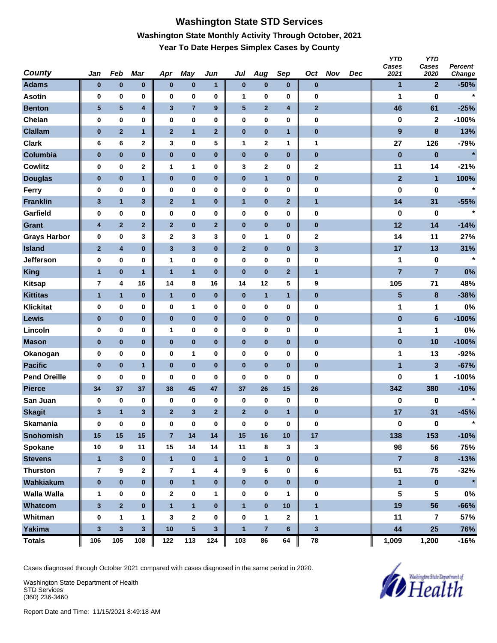# **Washington State STD Services Washington State Monthly Activity Through October, 2021 Year To Date Herpes Simplex Cases by County**

| <b>County</b>       | Jan            | Feb            | Mar                     | Apr            | <b>May</b>              | Jun              | Jul            | Aug            | Sep            | Oct          | <b>Nov</b> | <b>Dec</b> | <b>YTD</b><br>Cases<br>2021 | <b>YTD</b><br>Cases<br>2020 | Percent<br>Change |
|---------------------|----------------|----------------|-------------------------|----------------|-------------------------|------------------|----------------|----------------|----------------|--------------|------------|------------|-----------------------------|-----------------------------|-------------------|
| <b>Adams</b>        | $\bf{0}$       | $\pmb{0}$      | $\pmb{0}$               | $\bf{0}$       | $\pmb{0}$               | 1                | $\pmb{0}$      | $\pmb{0}$      | $\bf{0}$       | $\bf{0}$     |            |            | 1                           | $\overline{2}$              | $-50%$            |
| <b>Asotin</b>       | 0              | 0              | 0                       | 0              | $\bf{0}$                | 0                | 1              | 0              | $\bf{0}$       | 0            |            |            | 1                           | $\bf{0}$                    | $\star$           |
| <b>Benton</b>       | $\sqrt{5}$     | 5              | $\overline{\mathbf{4}}$ | 3              | $\overline{7}$          | $\boldsymbol{9}$ | $\sqrt{5}$     | $\overline{2}$ | 4              | $\mathbf{2}$ |            |            | 46                          | 61                          | $-25%$            |
| Chelan              | 0              | $\pmb{0}$      | 0                       | 0              | $\pmb{0}$               | 0                | $\pmb{0}$      | 0              | $\bf{0}$       | 0            |            |            | 0                           | $\mathbf 2$                 | $-100%$           |
| <b>Clallam</b>      | $\pmb{0}$      | $\overline{2}$ | $\mathbf{1}$            | $\overline{2}$ | $\mathbf{1}$            | $\overline{2}$   | $\pmb{0}$      | $\pmb{0}$      | $\mathbf{1}$   | $\pmb{0}$    |            |            | $\boldsymbol{9}$            | 8                           | 13%               |
| <b>Clark</b>        | 6              | 6              | $\mathbf 2$             | 3              | 0                       | 5                | 1              | 2              | $\mathbf 1$    | 1            |            |            | 27                          | 126                         | $-79%$            |
| Columbia            | $\pmb{0}$      | $\pmb{0}$      | $\bf{0}$                | $\pmb{0}$      | $\pmb{0}$               | $\pmb{0}$        | $\pmb{0}$      | $\pmb{0}$      | $\bf{0}$       | $\pmb{0}$    |            |            | $\pmb{0}$                   | $\bf{0}$                    | $\star$           |
| <b>Cowlitz</b>      | 0              | 0              | $\mathbf 2$             | 1              | $\mathbf{1}$            | 0                | 3              | 2              | 0              | 2            |            |            | 11                          | 14                          | $-21%$            |
| <b>Douglas</b>      | $\bf{0}$       | $\pmb{0}$      | 1                       | $\bf{0}$       | $\pmb{0}$               | $\pmb{0}$        | $\pmb{0}$      | $\mathbf{1}$   | $\bf{0}$       | $\bf{0}$     |            |            | $\mathbf{2}$                | $\mathbf{1}$                | 100%              |
| Ferry               | 0              | $\pmb{0}$      | 0                       | 0              | $\bf{0}$                | 0                | $\pmb{0}$      | 0              | 0              | 0            |            |            | 0                           | 0                           | $\star$           |
| <b>Franklin</b>     | 3              | $\mathbf{1}$   | $\mathbf 3$             | $\mathbf{2}$   | $\mathbf{1}$            | $\pmb{0}$        | $\mathbf{1}$   | $\pmb{0}$      | $\mathbf{2}$   | $\mathbf{1}$ |            |            | 14                          | 31                          | $-55%$            |
| Garfield            | 0              | $\pmb{0}$      | 0                       | 0              | $\pmb{0}$               | 0                | 0              | 0              | $\bf{0}$       | 0            |            |            | 0                           | 0                           | $\star$           |
| <b>Grant</b>        | 4              | $\overline{2}$ | $\mathbf{2}$            | $\mathbf{2}$   | $\pmb{0}$               | $\mathbf{2}$     | $\pmb{0}$      | $\pmb{0}$      | $\bf{0}$       | $\pmb{0}$    |            |            | 12                          | 14                          | $-14%$            |
| <b>Grays Harbor</b> | 0              | $\pmb{0}$      | 3                       | $\mathbf{2}$   | $\mathbf 3$             | 3                | 0              | 1              | $\bf{0}$       | 2            |            |            | 14                          | 11                          | 27%               |
| <b>Island</b>       | $\mathbf 2$    | 4              | $\bf{0}$                | $\mathbf{3}$   | $\mathbf{3}$            | $\bf{0}$         | $\mathbf 2$    | $\pmb{0}$      | $\bf{0}$       | $\mathbf{3}$ |            |            | 17                          | 13                          | 31%               |
| <b>Jefferson</b>    | 0              | 0              | 0                       | 1              | 0                       | 0                | 0              | 0              | 0              | 0            |            |            | 1                           | 0                           | $\star$           |
| <b>King</b>         | $\overline{1}$ | $\pmb{0}$      | $\mathbf{1}$            | $\mathbf{1}$   | $\mathbf{1}$            | $\pmb{0}$        | $\bf{0}$       | $\pmb{0}$      | $\overline{2}$ | $\mathbf{1}$ |            |            | $\overline{7}$              | $\overline{7}$              | 0%                |
| <b>Kitsap</b>       | 7              | 4              | 16                      | 14             | 8                       | 16               | 14             | 12             | 5              | 9            |            |            | 105                         | 71                          | 48%               |
| <b>Kittitas</b>     | 1              | $\mathbf{1}$   | $\bf{0}$                | 1              | $\pmb{0}$               | $\pmb{0}$        | $\pmb{0}$      | $\mathbf{1}$   | $\mathbf{1}$   | 0            |            |            | 5                           | 8                           | $-38%$            |
| <b>Klickitat</b>    | 0              | $\pmb{0}$      | 0                       | 0              | 1                       | 0                | $\pmb{0}$      | 0              | 0              | 0            |            |            | 1                           | 1                           | 0%                |
| Lewis               | $\bf{0}$       | 0              | $\bf{0}$                | $\pmb{0}$      | $\pmb{0}$               | $\pmb{0}$        | $\pmb{0}$      | $\pmb{0}$      | $\bf{0}$       | $\pmb{0}$    |            |            | $\pmb{0}$                   | $6\phantom{1}$              | $-100%$           |
| Lincoln             | 0              | $\pmb{0}$      | $\bf{0}$                | 1              | $\pmb{0}$               | 0                | 0              | 0              | $\bf{0}$       | 0            |            |            | 1                           | 1                           | 0%                |
| <b>Mason</b>        | $\bf{0}$       | $\pmb{0}$      | $\bf{0}$                | $\pmb{0}$      | $\pmb{0}$               | $\pmb{0}$        | $\pmb{0}$      | $\pmb{0}$      | $\bf{0}$       | 0            |            |            | $\pmb{0}$                   | 10                          | $-100%$           |
| Okanogan            | 0              | $\pmb{0}$      | 0                       | 0              | 1                       | 0                | 0              | 0              | $\bf{0}$       | 0            |            |            | 1                           | 13                          | $-92%$            |
| <b>Pacific</b>      | $\pmb{0}$      | $\pmb{0}$      | $\mathbf{1}$            | $\bf{0}$       | $\bf{0}$                | $\bf{0}$         | $\bf{0}$       | $\bf{0}$       | $\bf{0}$       | $\pmb{0}$    |            |            | $\blacksquare$              | $\mathbf{3}$                | $-67%$            |
| <b>Pend Oreille</b> | 0              | 0              | 0                       | 0              | 0                       | 0                | 0              | 0              | 0              | 0            |            |            | 0                           | 1                           | $-100%$           |
| <b>Pierce</b>       | 34             | 37             | 37                      | 38             | 45                      | 47               | 37             | 26             | 15             | 26           |            |            | 342                         | 380                         | $-10%$            |
| San Juan            | 0              | $\pmb{0}$      | 0                       | 0              | 0                       | $\pmb{0}$        | 0              | 0              | $\bf{0}$       | $\bf{0}$     |            |            | 0                           | 0                           | $\star$           |
| <b>Skagit</b>       | 3              | $\mathbf{1}$   | 3                       | $\overline{2}$ | 3                       | $\overline{2}$   | $\overline{2}$ | $\pmb{0}$      | 1              | $\bf{0}$     |            |            | 17                          | 31                          | $-45%$            |
| <b>Skamania</b>     | 0              | $\bf{0}$       | $\pmb{0}$               | $\bf{0}$       | $\pmb{0}$               | $\pmb{0}$        | $\bf{0}$       | $\pmb{0}$      | $\pmb{0}$      | $\bf{0}$     |            |            | 0                           | $\pmb{0}$                   | $\star$           |
| <b>Snohomish</b>    | 15             | 15             | 15                      | $\overline{7}$ | 14                      | 14               | 15             | 16             | 10             | 17           |            |            | 138                         | 153                         | $-10%$            |
| Spokane             | 10             | 9              | 11                      | 15             | 14                      | 14               | 11             | 8              | 3              | 3            |            |            | 98                          | 56                          | 75%               |
| <b>Stevens</b>      | $\mathbf{1}$   | $\mathbf 3$    | $\pmb{0}$               | $\mathbf{1}$   | $\pmb{0}$               | $\mathbf{1}$     | $\pmb{0}$      | $\mathbf{1}$   | $\bf{0}$       | $\pmb{0}$    |            |            | $\overline{7}$              | 8                           | $-13%$            |
| <b>Thurston</b>     | $\overline{7}$ | 9              | $\mathbf 2$             | $\overline{7}$ | $\mathbf{1}$            | 4                | 9              | 6              | 0              | 6            |            |            | 51                          | 75                          | $-32%$            |
| Wahkiakum           | $\pmb{0}$      | $\pmb{0}$      | $\bf{0}$                | $\pmb{0}$      | $\overline{\mathbf{1}}$ | $\bf{0}$         | $\bf{0}$       | $\bf{0}$       | $\bf{0}$       | $\pmb{0}$    |            |            | $\blacksquare$              | $\pmb{0}$                   | $\star$           |
| <b>Walla Walla</b>  | 1              | 0              | 0                       | $\mathbf{2}$   | $\mathbf 0$             | 1                | 0              | 0              | $\mathbf{1}$   | 0            |            |            | 5                           | 5                           | $0\%$             |
| Whatcom             | $\mathbf{3}$   | $\overline{2}$ | $\bf{0}$                | $\mathbf{1}$   | $\mathbf{1}$            | $\bf{0}$         | $\mathbf{1}$   | $\bf{0}$       | 10             | $\mathbf{1}$ |            |            | 19                          | 56                          | $-66%$            |
| Whitman             | 0              | $\mathbf{1}$   | 1                       | 3              | $\mathbf{2}$            | 0                | $\bf{0}$       | 1              | $\mathbf{2}$   | $\mathbf 1$  |            |            | 11                          | 7                           | 57%               |
| Yakima              | $\mathbf 3$    | $\mathbf 3$    | $\mathbf{3}$            | 10             | $5\phantom{.0}$         | $\mathbf{3}$     | $\mathbf{1}$   | $\overline{7}$ | $6\phantom{1}$ | 3            |            |            | 44                          | 25                          | 76%               |
| <b>Totals</b>       | 106            | 105            | 108                     | 122            | 113                     | 124              | 103            | 86             | 64             | 78           |            |            | 1,009                       | 1,200                       | $-16%$            |

Cases diagnosed through October 2021 compared with cases diagnosed in the same period in 2020.

Washington State Department of Health STD Services (360) 236-3460

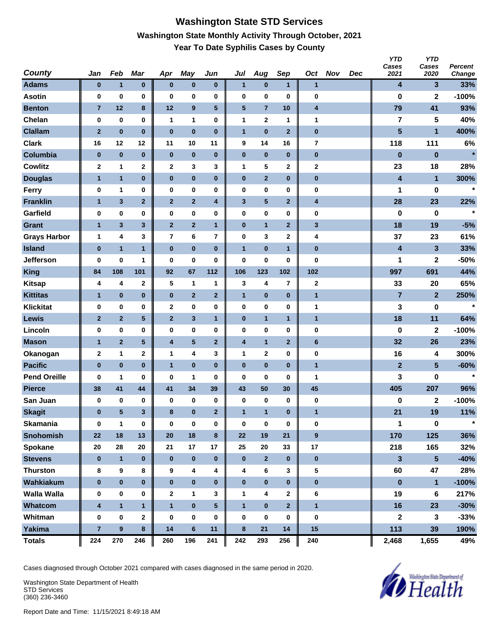#### **Washington State STD Services Washington State Monthly Activity Through October, 2021 Year To Date Syphilis Cases by County**

| <b>County</b>       | Jan                     | Feb              | <b>Mar</b>     | Apr                     | <b>May</b>              | Jun                     | Jul                     | Aug            | Sep                     | Oct                     | <b>Nov</b> | <b>Dec</b> | <b>YTD</b><br>Cases<br>2021 | <b>YTD</b><br>Cases<br>2020 | Percent<br>Change |
|---------------------|-------------------------|------------------|----------------|-------------------------|-------------------------|-------------------------|-------------------------|----------------|-------------------------|-------------------------|------------|------------|-----------------------------|-----------------------------|-------------------|
| <b>Adams</b>        | $\bf{0}$                | $\mathbf{1}$     | 0              | $\bf{0}$                | $\bf{0}$                | $\pmb{0}$               | $\mathbf{1}$            | $\pmb{0}$      | $\mathbf{1}$            | $\mathbf{1}$            |            |            | 4                           | 3                           | 33%               |
| <b>Asotin</b>       | $\bf{0}$                | 0                | 0              | 0                       | $\bf{0}$                | 0                       | $\bf{0}$                | 0              | $\bf{0}$                | 0                       |            |            | 0                           | $\mathbf 2$                 | $-100%$           |
| <b>Benton</b>       | $\overline{7}$          | 12               | 8              | 12                      | $\boldsymbol{9}$        | ${\bf 5}$               | 5                       | $\overline{7}$ | 10                      | $\overline{\mathbf{4}}$ |            |            | 79                          | 41                          | 93%               |
| Chelan              | $\bf{0}$                | 0                | 0              | $\mathbf{1}$            | 1                       | 0                       | $\mathbf{1}$            | $\mathbf 2$    | $\mathbf 1$             | 1                       |            |            | 7                           | 5                           | 40%               |
| <b>Clallam</b>      | $\overline{\mathbf{2}}$ | $\bf{0}$         | $\pmb{0}$      | $\pmb{0}$               | $\bf{0}$                | $\bf{0}$                | $\mathbf{1}$            | $\pmb{0}$      | $\mathbf{2}$            | $\pmb{0}$               |            |            | $5\phantom{.}$              | 1                           | 400%              |
| <b>Clark</b>        | 16                      | 12               | 12             | 11                      | 10                      | 11                      | 9                       | 14             | 16                      | 7                       |            |            | 118                         | 111                         | 6%                |
| Columbia            | $\bf{0}$                | $\bf{0}$         | $\pmb{0}$      | $\pmb{0}$               | $\pmb{0}$               | $\pmb{0}$               | $\pmb{0}$               | $\bf{0}$       | $\bf{0}$                | $\pmb{0}$               |            |            | $\bf{0}$                    | $\bf{0}$                    | $\star$           |
| Cowlitz             | $\mathbf{2}$            | 1                | 2              | $\mathbf{2}$            | 3                       | 3                       | $\mathbf{1}$            | 5              | $\mathbf 2$             | $\mathbf 2$             |            |            | 23                          | 18                          | 28%               |
| <b>Douglas</b>      | 1                       | $\mathbf{1}$     | 0              | $\pmb{0}$               | $\pmb{0}$               | $\pmb{0}$               | $\bf{0}$                | $\overline{2}$ | $\bf{0}$                | $\pmb{0}$               |            |            | 4                           | 1                           | 300%              |
| <b>Ferry</b>        | 0                       | 1                | 0              | 0                       | $\bf{0}$                | 0                       | $\bf{0}$                | 0              | $\bf{0}$                | 0                       |            |            | 1                           | 0                           | $\star$           |
| <b>Franklin</b>     | $\mathbf{1}$            | $\mathbf{3}$     | $\overline{2}$ | $\mathbf{2}$            | $\mathbf{2}$            | 4                       | $\mathbf{3}$            | $\sqrt{5}$     | $\mathbf{2}$            | 4                       |            |            | 28                          | 23                          | 22%               |
| Garfield            | 0                       | $\pmb{0}$        | 0              | 0                       | $\pmb{0}$               | 0                       | $\bf{0}$                | 0              | $\bf{0}$                | 0                       |            |            | 0                           | $\bf{0}$                    | $\star$           |
| <b>Grant</b>        | $\mathbf{1}$            | $\mathbf{3}$     | 3              | $\overline{2}$          | $\overline{2}$          | $\mathbf{1}$            | $\bf{0}$                | $\mathbf{1}$   | $\mathbf{2}$            | $\mathbf{3}$            |            |            | 18                          | 19                          | $-5%$             |
| <b>Grays Harbor</b> | $\mathbf{1}$            | 4                | 3              | $\overline{\mathbf{r}}$ | 6                       | $\overline{7}$          | $\pmb{0}$               | 3              | 2                       | 4                       |            |            | 37                          | 23                          | 61%               |
| <b>Island</b>       | $\pmb{0}$               | $\mathbf{1}$     | $\mathbf{1}$   | $\pmb{0}$               | $\pmb{0}$               | $\bf{0}$                | $\overline{1}$          | $\bf{0}$       | $\mathbf{1}$            | $\pmb{0}$               |            |            | 4                           | 3                           | 33%               |
| <b>Jefferson</b>    | 0                       | 0                | 1              | 0                       | $\bf{0}$                | 0                       | $\bf{0}$                | 0              | 0                       | 0                       |            |            | 1                           | 2                           | $-50%$            |
| <b>King</b>         | 84                      | 108              | 101            | 92                      | 67                      | 112                     | 106                     | 123            | 102                     | 102                     |            |            | 997                         | 691                         | 44%               |
| <b>Kitsap</b>       | 4                       | 4                | 2              | 5                       | $\mathbf{1}$            | 1                       | 3                       | 4              | $\overline{7}$          | $\mathbf 2$             |            |            | 33                          | 20                          | 65%               |
| <b>Kittitas</b>     | $\mathbf{1}$            | $\pmb{0}$        | 0              | $\pmb{0}$               | $\mathbf{2}$            | $\mathbf{2}$            | $\mathbf{1}$            | $\bf{0}$       | $\bf{0}$                | $\mathbf{1}$            |            |            | $\overline{7}$              | $\mathbf{2}$                | 250%              |
| <b>Klickitat</b>    | 0                       | $\pmb{0}$        | 0              | $\mathbf{2}$            | $\pmb{0}$               | 0                       | $\pmb{0}$               | 0              | $\bf{0}$                | 1                       |            |            | 3                           | 0                           | $\star$           |
| <b>Lewis</b>        | $\mathbf{2}$            | $\mathbf 2$      | 5              | $\mathbf{2}$            | 3                       | $\mathbf{1}$            | $\bf{0}$                | $\mathbf{1}$   | 1                       | $\mathbf{1}$            |            |            | 18                          | 11                          | 64%               |
| Lincoln             | 0                       | $\pmb{0}$        | 0              | 0                       | $\pmb{0}$               | 0                       | $\bf{0}$                | 0              | $\bf{0}$                | 0                       |            |            | 0                           | $\mathbf 2$                 | $-100%$           |
| <b>Mason</b>        | $\mathbf{1}$            | $\overline{2}$   | 5              | 4                       | $\overline{\mathbf{5}}$ | $\mathbf{2}$            | $\overline{\mathbf{4}}$ | $\mathbf{1}$   | $\mathbf{2}$            | $\bf 6$                 |            |            | 32                          | 26                          | 23%               |
| Okanogan            | $\mathbf{2}$            | 1                | 2              | 1                       | 4                       | 3                       | 1                       | $\mathbf{2}$   | 0                       | 0                       |            |            | 16                          | 4                           | 300%              |
| <b>Pacific</b>      | $\pmb{0}$               | $\bf{0}$         | $\bf{0}$       | $\mathbf{1}$            | $\bf{0}$                | $\bf{0}$                | $\bf{0}$                | $\bf{0}$       | $\bf{0}$                | $\mathbf{1}$            |            |            | $\mathbf{2}$                | 5                           | $-60%$            |
| <b>Pend Oreille</b> | 0                       | 1                | 0              | 0                       | 1                       | 0                       | $\bf{0}$                | 0              | 0                       | 1                       |            |            | 3                           | 0                           | $\star$           |
| <b>Pierce</b>       | 38                      | 41               | 44             | 41                      | 34                      | 39                      | 43                      | 50             | 30                      | 45                      |            |            | 405                         | 207                         | 96%               |
| San Juan            | 0                       | 0                | 0              | 0                       | 0                       | $\pmb{0}$               | 0                       | 0              | $\bf{0}$                | 0                       |            |            | 0                           | 2                           | $-100%$           |
| <b>Skagit</b>       | $\bf{0}$                | $\sqrt{5}$       | 3              | 8                       | $\pmb{0}$               | $\mathbf{2}$            | $\mathbf{1}$            | $\mathbf{1}$   | $\bf{0}$                | $\mathbf{1}$            |            |            | 21                          | 19                          | 11%               |
| <b>Skamania</b>     | $\bf{0}$                | $\mathbf{1}$     | $\pmb{0}$      | 0                       | $\bf{0}$                | 0                       | $\pmb{0}$               | 0              | $\pmb{0}$               | 0                       |            |            | 1                           | $\mathbf 0$                 | $\star$           |
| <b>Snohomish</b>    | 22                      | 18               | 13             | 20                      | 18                      | 8                       | 22                      | 19             | 21                      | $\boldsymbol{9}$        |            |            | 170                         | 125                         | 36%               |
| Spokane             | 20                      | 28               | 20             | 21                      | 17                      | 17                      | 25                      | 20             | 33                      | $17\,$                  |            |            | 218                         | 165                         | 32%               |
| <b>Stevens</b>      | $\bf{0}$                | $\mathbf{1}$     | $\bf{0}$       | $\bf{0}$                | $\pmb{0}$               | $\pmb{0}$               | $\bf{0}$                | $\mathbf{2}$   | $\bf{0}$                | $\pmb{0}$               |            |            | 3                           | $5\phantom{.0}$             | $-40%$            |
| <b>Thurston</b>     | 8                       | 9                | 8              | 9                       | 4                       | 4                       | 4                       | 6              | 3                       | 5                       |            |            | 60                          | 47                          | 28%               |
| Wahkiakum           | $\pmb{0}$               | $\bf{0}$         | $\bf{0}$       | $\pmb{0}$               | $\pmb{0}$               | $\pmb{0}$               | $\bf{0}$                | $\pmb{0}$      | $\mathbf 0$             | $\pmb{0}$               |            |            | $\pmb{0}$                   | $\mathbf{1}$                | $-100%$           |
| <b>Walla Walla</b>  | 0                       | 0                | 0              | 2                       | $\mathbf 1$             | 3                       | 1                       | 4              | $\mathbf{2}$            | 6                       |            |            | 19                          | 6                           | 217%              |
| Whatcom             | $\overline{\mathbf{4}}$ | $\mathbf{1}$     | $\mathbf{1}$   | $\mathbf{1}$            | $\pmb{0}$               | $\overline{\mathbf{5}}$ | $\mathbf{1}$            | $\pmb{0}$      | $\overline{\mathbf{2}}$ | $\mathbf{1}$            |            |            | 16                          | 23                          | $-30%$            |
| Whitman             | $\bf{0}$                | $\bf{0}$         | $\mathbf{2}$   | 0                       | $\bf{0}$                | $\bf{0}$                | 0                       | 0              | $\mathbf 0$             | 0                       |            |            | $\mathbf 2$                 | $\mathbf{3}$                | $-33%$            |
| <b>Yakima</b>       | $\overline{7}$          | $\boldsymbol{9}$ | 8              | 14                      | $6\phantom{a}$          | 11                      | $\bf8$                  | 21             | 14                      | 15                      |            |            | 113                         | 39                          | 190%              |
| <b>Totals</b>       | 224                     | 270              | 246            | 260                     | 196                     | 241                     | 242                     | 293            | 256                     | 240                     |            |            | 2,468                       | 1,655                       | 49%               |

Cases diagnosed through October 2021 compared with cases diagnosed in the same period in 2020.

Washington State Department of Health STD Services (360) 236-3460

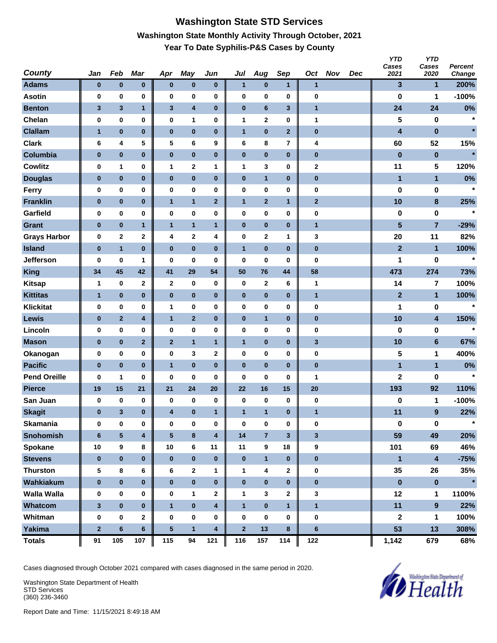# **Washington State STD Services Washington State Monthly Activity Through October, 2021 Year To Date Syphilis-P&S Cases by County**

| <b>County</b>       | Jan             | Feb                     | Mar                     | Apr          | <b>May</b>   | Jun          | Jul          | Aug                     | Sep          | Oct            | <b>Nov</b> | <b>Dec</b> | <b>YTD</b><br>Cases<br>2021 | <b>YTD</b><br>Cases<br>2020 | Percent<br>Change |
|---------------------|-----------------|-------------------------|-------------------------|--------------|--------------|--------------|--------------|-------------------------|--------------|----------------|------------|------------|-----------------------------|-----------------------------|-------------------|
| <b>Adams</b>        | $\bf{0}$        | $\pmb{0}$               | $\pmb{0}$               | $\bf{0}$     | $\pmb{0}$    | $\bf{0}$     | $\mathbf{1}$ | $\pmb{0}$               | $\mathbf{1}$ | $\mathbf{1}$   |            |            | 3                           | $\mathbf{1}$                | 200%              |
| <b>Asotin</b>       | $\bf{0}$        | 0                       | 0                       | $\bf{0}$     | 0            | $\pmb{0}$    | 0            | 0                       | $\bf{0}$     | $\bf{0}$       |            |            | 0                           | 1                           | $-100%$           |
| <b>Benton</b>       | 3               | $\mathbf{3}$            | $\mathbf{1}$            | $\mathbf{3}$ | 4            | $\bf{0}$     | $\pmb{0}$    | 6                       | $\mathbf{3}$ | $\mathbf{1}$   |            |            | 24                          | 24                          | 0%                |
| Chelan              | 0               | $\pmb{0}$               | 0                       | $\bf{0}$     | 1            | 0            | 1            | 2                       | 0            | 1              |            |            | 5                           | 0                           | $\star$           |
| <b>Clallam</b>      | $\mathbf{1}$    | $\bf{0}$                | $\bf{0}$                | $\bf{0}$     | $\bf{0}$     | $\bf{0}$     | $\mathbf{1}$ | $\bf{0}$                | $\mathbf{2}$ | $\pmb{0}$      |            |            | 4                           | $\bf{0}$                    | $\star$           |
| <b>Clark</b>        | 6               | 4                       | 5                       | 5            | 6            | 9            | 6            | 8                       | 7            | 4              |            |            | 60                          | 52                          | 15%               |
| Columbia            | $\pmb{0}$       | $\pmb{0}$               | $\pmb{0}$               | $\pmb{0}$    | $\pmb{0}$    | $\pmb{0}$    | $\pmb{0}$    | $\pmb{0}$               | $\bf{0}$     | $\pmb{0}$      |            |            | $\bf{0}$                    | $\pmb{0}$                   | $\star$           |
| <b>Cowlitz</b>      | 0               | 1                       | 0                       | 1            | $\mathbf 2$  | 1            | 1            | 3                       | 0            | 2              |            |            | 11                          | 5                           | 120%              |
| <b>Douglas</b>      | $\bf{0}$        | $\pmb{0}$               | $\pmb{0}$               | $\bf{0}$     | $\pmb{0}$    | $\pmb{0}$    | $\pmb{0}$    | $\mathbf{1}$            | $\bf{0}$     | $\bf{0}$       |            |            | $\mathbf{1}$                | $\mathbf{1}$                | 0%                |
| Ferry               | 0               | $\pmb{0}$               | 0                       | $\bf{0}$     | 0            | 0            | 0            | 0                       | 0            | 0              |            |            | 0                           | 0                           | $\star$           |
| <b>Franklin</b>     | $\pmb{0}$       | $\pmb{0}$               | $\pmb{0}$               | $\mathbf{1}$ | $\mathbf{1}$ | $\mathbf{2}$ | $\mathbf{1}$ | $\overline{\mathbf{2}}$ | $\mathbf{1}$ | $\mathbf{2}$   |            |            | 10                          | $\bf8$                      | 25%               |
| Garfield            | 0               | $\pmb{0}$               | 0                       | $\bf{0}$     | 0            | 0            | 0            | 0                       | 0            | $\pmb{0}$      |            |            | 0                           | 0                           | $\star$           |
| <b>Grant</b>        | $\pmb{0}$       | $\pmb{0}$               | $\mathbf{1}$            | $\mathbf{1}$ | $\mathbf{1}$ | $\mathbf{1}$ | $\pmb{0}$    | 0                       | $\pmb{0}$    | $\mathbf{1}$   |            |            | 5                           | $\overline{7}$              | $-29%$            |
| <b>Grays Harbor</b> | 0               | $\mathbf{2}$            | $\mathbf 2$             | 4            | $\mathbf 2$  | 4            | $\pmb{0}$    | 2                       | 1            | 3              |            |            | 20                          | 11                          | 82%               |
| <b>Island</b>       | $\pmb{0}$       | $\mathbf{1}$            | $\bf{0}$                | $\bf{0}$     | $\bf{0}$     | $\bf{0}$     | $\mathbf{1}$ | $\pmb{0}$               | $\bf{0}$     | $\pmb{0}$      |            |            | $\overline{2}$              | $\mathbf{1}$                | 100%              |
| <b>Jefferson</b>    | 0               | 0                       | 1                       | 0            | 0            | 0            | 0            | 0                       | 0            | $\bf{0}$       |            |            | 1                           | 0                           | $\star$           |
| <b>King</b>         | 34              | 45                      | 42                      | 41           | 29           | 54           | 50           | 76                      | 44           | 58             |            |            | 473                         | 274                         | 73%               |
| <b>Kitsap</b>       | $\mathbf{1}$    | 0                       | $\mathbf 2$             | $\mathbf{2}$ | 0            | 0            | 0            | 2                       | 6            | $\mathbf{1}$   |            |            | 14                          | 7                           | 100%              |
| <b>Kittitas</b>     | $\mathbf{1}$    | $\bf{0}$                | $\pmb{0}$               | $\bf{0}$     | $\pmb{0}$    | $\bf{0}$     | $\pmb{0}$    | $\bf{0}$                | $\pmb{0}$    | $\mathbf{1}$   |            |            | $\mathbf{2}$                | $\mathbf{1}$                | 100%              |
| <b>Klickitat</b>    | 0               | $\pmb{0}$               | 0                       | $\mathbf{1}$ | 0            | 0            | 0            | 0                       | 0            | 0              |            |            | 1                           | 0                           | $\star$           |
| <b>Lewis</b>        | $\bf{0}$        | $\mathbf{2}$            | 4                       | $\mathbf{1}$ | $\mathbf{2}$ | 0            | $\bf{0}$     | $\mathbf{1}$            | $\bf{0}$     | $\pmb{0}$      |            |            | 10                          | $\overline{\mathbf{4}}$     | 150%              |
| Lincoln             | 0               | $\pmb{0}$               | 0                       | $\bf{0}$     | 0            | 0            | 0            | $\pmb{0}$               | 0            | $\bf{0}$       |            |            | 0                           | 0                           | $\star$           |
| <b>Mason</b>        | $\pmb{0}$       | $\pmb{0}$               | $\mathbf 2$             | $\mathbf{2}$ | $\mathbf{1}$ | $\mathbf{1}$ | $\mathbf{1}$ | 0                       | $\pmb{0}$    | 3              |            |            | 10                          | $\bf 6$                     | 67%               |
| Okanogan            | 0               | 0                       | 0                       | $\bf{0}$     | 3            | 2            | $\pmb{0}$    | 0                       | 0            | 0              |            |            | 5                           | 1                           | 400%              |
| <b>Pacific</b>      | $\pmb{0}$       | $\bf{0}$                | $\bf{0}$                | $\mathbf{1}$ | $\bf{0}$     | $\bf{0}$     | $\pmb{0}$    | $\bf{0}$                | $\bf{0}$     | $\pmb{0}$      |            |            | 1                           | $\mathbf{1}$                | 0%                |
| <b>Pend Oreille</b> | 0               | 1                       | 0                       | 0            | 0            | 0            | 0            | 0                       | 0            | 1              |            |            | $\mathbf 2$                 | 0                           | $\star$           |
| <b>Pierce</b>       | 19              | 15                      | 21                      | 21           | 24           | 20           | 22           | 16                      | 15           | 20             |            |            | 193                         | 92                          | 110%              |
| San Juan            | 0               | 0                       | 0                       | 0            | 0            | 0            | 0            | 0                       | $\bf{0}$     | $\bf{0}$       |            |            | 0                           | 1                           | $-100%$           |
| <b>Skagit</b>       | 0               | $\mathbf{3}$            | $\bf{0}$                | 4            | $\bf{0}$     | 1            | $\mathbf{1}$ | $\mathbf{1}$            | $\bf{0}$     | 1              |            |            | 11                          | $\boldsymbol{9}$            | 22%               |
| <b>Skamania</b>     | $\bf{0}$        | $\pmb{0}$               | 0                       | $\bf{0}$     | $\pmb{0}$    | $\pmb{0}$    | $\pmb{0}$    | $\bf{0}$                | 0            | $\bf{0}$       |            |            | 0                           | $\mathbf 0$                 | $\star$           |
| <b>Snohomish</b>    | $6\phantom{1}6$ | $\overline{\mathbf{5}}$ | $\overline{\mathbf{4}}$ | ${\bf 5}$    | $\bf 8$      | 4            | 14           | $\overline{7}$          | $\mathbf{3}$ | $\mathbf{3}$   |            |            | 59                          | 49                          | 20%               |
| Spokane             | 10              | 9                       | 8                       | 10           | 6            | 11           | 11           | 9                       | 18           | 9              |            |            | 101                         | 69                          | 46%               |
| <b>Stevens</b>      | $\bf{0}$        | $\pmb{0}$               | $\bf{0}$                | $\bf{0}$     | $\pmb{0}$    | $\bf{0}$     | $\pmb{0}$    | $\mathbf{1}$            | $\bf{0}$     | $\pmb{0}$      |            |            | $\mathbf{1}$                | $\overline{\mathbf{4}}$     | $-75%$            |
| <b>Thurston</b>     | 5               | $\bf 8$                 | 6                       | 6            | $\mathbf{2}$ | 1            | $\mathbf{1}$ | 4                       | $\mathbf 2$  | $\pmb{0}$      |            |            | 35                          | 26                          | 35%               |
| Wahkiakum           | $\pmb{0}$       | $\pmb{0}$               | $\bf{0}$                | $\bf{0}$     | $\pmb{0}$    | $\pmb{0}$    | $\pmb{0}$    | $\pmb{0}$               | $\bf{0}$     | $\pmb{0}$      |            |            | $\pmb{0}$                   | $\pmb{0}$                   | $\star$           |
| <b>Walla Walla</b>  | 0               | 0                       | 0                       | 0            | 1            | 2            | 1            | 3                       | 2            | 3              |            |            | 12                          | $\mathbf 1$                 | 1100%             |
| Whatcom             | $\mathbf{3}$    | $\pmb{0}$               | $\bf{0}$                | $\mathbf{1}$ | $\pmb{0}$    | 4            | $\mathbf{1}$ | $\pmb{0}$               | $\mathbf{1}$ | $\mathbf{1}$   |            |            | 11                          | $\overline{9}$              | 22%               |
| Whitman             | 0               | $\pmb{0}$               | $\mathbf 2$             | $\bf{0}$     | $\pmb{0}$    | 0            | $\pmb{0}$    | 0                       | 0            | $\bf{0}$       |            |            | $\mathbf 2$                 | 1                           | 100%              |
| Yakima              | $\bf{2}$        | $\bf 6$                 | $\bf 6$                 | ${\bf 5}$    | $\mathbf{1}$ | 4            | $\mathbf 2$  | 13                      | 8            | $6\phantom{a}$ |            |            | 53                          | 13                          | 308%              |
| <b>Totals</b>       | 91              | 105                     | 107                     | 115          | 94           | 121          | 116          | 157                     | 114          | 122            |            |            | 1,142                       | 679                         | 68%               |

Cases diagnosed through October 2021 compared with cases diagnosed in the same period in 2020.

Washington State Department of Health STD Services (360) 236-3460

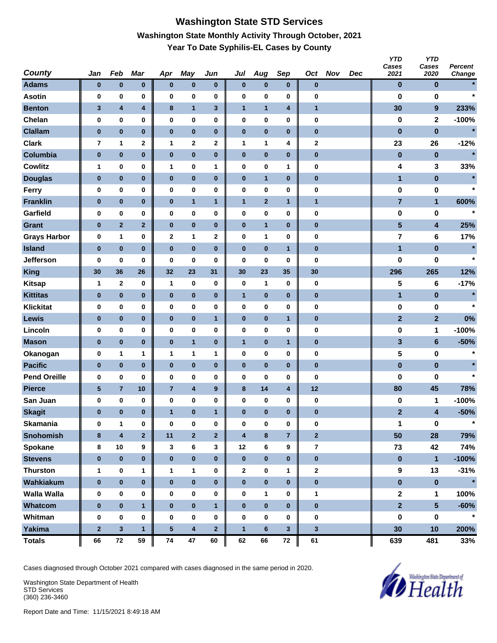# **Washington State STD Services Washington State Monthly Activity Through October, 2021 Year To Date Syphilis-EL Cases by County**

| <b>County</b>       | Jan             | Feb                     | Mar                     | Apr             | <b>May</b>              | Jun                     | Jul                     | Aug                     | Sep                     | Oct            | <b>Nov</b> | Dec | <b>YTD</b><br>Cases<br>2021 | <b>YTD</b><br>Cases<br>2020 | <b>Percent</b><br>Change |
|---------------------|-----------------|-------------------------|-------------------------|-----------------|-------------------------|-------------------------|-------------------------|-------------------------|-------------------------|----------------|------------|-----|-----------------------------|-----------------------------|--------------------------|
| <b>Adams</b>        | $\bf{0}$        | $\pmb{0}$               | $\pmb{0}$               | $\bf{0}$        | $\pmb{0}$               | $\bf{0}$                | $\bf{0}$                | $\pmb{0}$               | $\bf{0}$                | $\pmb{0}$      |            |     | $\bf{0}$                    | $\bf{0}$                    |                          |
| <b>Asotin</b>       | $\bf{0}$        | 0                       | 0                       | $\bf{0}$        | 0                       | $\pmb{0}$               | 0                       | 0                       | 0                       | $\bf{0}$       |            |     | 0                           | 0                           | $\star$                  |
| <b>Benton</b>       | 3               | $\overline{\mathbf{4}}$ | $\overline{\mathbf{4}}$ | $\bf8$          | $\mathbf{1}$            | 3                       | $\mathbf{1}$            | $\mathbf{1}$            | 4                       | $\mathbf{1}$   |            |     | 30                          | 9                           | 233%                     |
| Chelan              | 0               | $\pmb{0}$               | 0                       | $\bf{0}$        | 0                       | 0                       | $\pmb{0}$               | 0                       | 0                       | $\pmb{0}$      |            |     | 0                           | $\mathbf{2}$                | $-100%$                  |
| <b>Clallam</b>      | $\pmb{0}$       | $\bf{0}$                | $\bf{0}$                | $\pmb{0}$       | $\bf{0}$                | $\bf{0}$                | $\pmb{0}$               | 0                       | $\bf{0}$                | $\pmb{0}$      |            |     | $\bf{0}$                    | $\pmb{0}$                   | $\star$                  |
| <b>Clark</b>        | 7               | 1                       | $\mathbf 2$             | 1               | 2                       | 2                       | 1                       | 1                       | 4                       | 2              |            |     | 23                          | 26                          | $-12%$                   |
| Columbia            | $\pmb{0}$       | $\pmb{0}$               | $\bf{0}$                | $\pmb{0}$       | $\pmb{0}$               | $\pmb{0}$               | $\pmb{0}$               | $\pmb{0}$               | $\bf{0}$                | $\pmb{0}$      |            |     | $\bf{0}$                    | $\pmb{0}$                   | $\star$                  |
| <b>Cowlitz</b>      | $\mathbf{1}$    | 0                       | 0                       | $\mathbf{1}$    | 0                       | 1                       | $\pmb{0}$               | 0                       | 1                       | 0              |            |     | 4                           | 3                           | 33%                      |
| <b>Douglas</b>      | $\bf{0}$        | $\bf{0}$                | $\pmb{0}$               | $\bf{0}$        | $\pmb{0}$               | $\bf{0}$                | $\pmb{0}$               | $\mathbf{1}$            | $\pmb{0}$               | $\bf{0}$       |            |     | $\mathbf{1}$                | $\pmb{0}$                   |                          |
| Ferry               | 0               | $\pmb{0}$               | 0                       | $\bf{0}$        | 0                       | 0                       | 0                       | 0                       | 0                       | 0              |            |     | 0                           | 0                           | $\star$                  |
| <b>Franklin</b>     | $\bf{0}$        | $\pmb{0}$               | $\pmb{0}$               | $\bf{0}$        | $\mathbf{1}$            | $\mathbf{1}$            | $\mathbf{1}$            | $\overline{\mathbf{2}}$ | $\mathbf{1}$            | $\mathbf{1}$   |            |     | $\overline{7}$              | $\mathbf{1}$                | 600%                     |
| Garfield            | 0               | $\pmb{0}$               | 0                       | $\bf{0}$        | 0                       | 0                       | 0                       | 0                       | 0                       | $\pmb{0}$      |            |     | 0                           | 0                           | $\star$                  |
| <b>Grant</b>        | $\pmb{0}$       | $\mathbf 2$             | $\mathbf{2}$            | $\pmb{0}$       | $\pmb{0}$               | $\bf{0}$                | $\pmb{0}$               | $\mathbf{1}$            | $\pmb{0}$               | $\pmb{0}$      |            |     | $\overline{\mathbf{5}}$     | $\overline{\mathbf{4}}$     | 25%                      |
| <b>Grays Harbor</b> | 0               | 1                       | 0                       | $\mathbf{2}$    | 1                       | 2                       | $\pmb{0}$               | 1                       | 0                       | $\pmb{0}$      |            |     | 7                           | 6                           | 17%                      |
| <b>Island</b>       | $\pmb{0}$       | $\bf{0}$                | $\bf{0}$                | $\bf{0}$        | $\bf{0}$                | $\bf{0}$                | $\pmb{0}$               | $\pmb{0}$               | $\mathbf{1}$            | $\pmb{0}$      |            |     | 1                           | $\pmb{0}$                   | $\star$                  |
| <b>Jefferson</b>    | 0               | 0                       | 0                       | 0               | 0                       | 0                       | 0                       | 0                       | 0                       | $\bf{0}$       |            |     | 0                           | 0                           | $\star$                  |
| <b>King</b>         | 30              | 36                      | 26                      | 32              | 23                      | 31                      | 30                      | 23                      | 35                      | 30             |            |     | 296                         | 265                         | 12%                      |
| <b>Kitsap</b>       | $\mathbf{1}$    | $\mathbf{2}$            | 0                       | $\mathbf{1}$    | 0                       | 0                       | $\pmb{0}$               | 1                       | $\bf{0}$                | 0              |            |     | 5                           | 6                           | $-17%$                   |
| <b>Kittitas</b>     | $\bf{0}$        | $\bf{0}$                | $\bf{0}$                | $\bf{0}$        | $\pmb{0}$               | $\bf{0}$                | $\mathbf{1}$            | $\bf{0}$                | $\pmb{0}$               | $\bf{0}$       |            |     | 1                           | $\pmb{0}$                   | $\star$                  |
| <b>Klickitat</b>    | 0               | $\pmb{0}$               | 0                       | $\bf{0}$        | 0                       | 0                       | 0                       | 0                       | 0                       | 0              |            |     | 0                           | 0                           | $\star$                  |
| <b>Lewis</b>        | $\bf{0}$        | $\pmb{0}$               | $\pmb{0}$               | $\bf{0}$        | $\pmb{0}$               | $\mathbf{1}$            | $\pmb{0}$               | 0                       | $\mathbf{1}$            | $\pmb{0}$      |            |     | $\overline{\mathbf{2}}$     | $\overline{2}$              | 0%                       |
| Lincoln             | 0               | $\pmb{0}$               | 0                       | $\bf{0}$        | 0                       | $\pmb{0}$               | 0                       | $\pmb{0}$               | 0                       | $\pmb{0}$      |            |     | 0                           | 1                           | $-100%$                  |
| <b>Mason</b>        | $\pmb{0}$       | $\pmb{0}$               | $\pmb{0}$               | $\pmb{0}$       | $\mathbf{1}$            | $\bf{0}$                | $\mathbf{1}$            | 0                       | $\mathbf{1}$            | $\pmb{0}$      |            |     | 3                           | $\bf 6$                     | $-50%$                   |
| Okanogan            | 0               | 1                       | 1                       | 1               | 1                       | 1                       | $\pmb{0}$               | 0                       | 0                       | 0              |            |     | 5                           | 0                           | $\star$                  |
| <b>Pacific</b>      | $\pmb{0}$       | $\bf{0}$                | $\bf{0}$                | $\pmb{0}$       | $\bf{0}$                | $\bf{0}$                | $\pmb{0}$               | $\bf{0}$                | $\bf{0}$                | $\pmb{0}$      |            |     | $\pmb{0}$                   | $\pmb{0}$                   |                          |
| <b>Pend Oreille</b> | 0               | 0                       | 0                       | 0               | 0                       | 0                       | 0                       | 0                       | 0                       | $\bf{0}$       |            |     | 0                           | 0                           | $\star$                  |
| <b>Pierce</b>       | $5\phantom{.0}$ | $\overline{7}$          | 10                      | $\overline{7}$  | $\overline{\mathbf{4}}$ | $\boldsymbol{9}$        | $\bf8$                  | 14                      | $\overline{\mathbf{4}}$ | 12             |            |     | 80                          | 45                          | 78%                      |
| San Juan            | 0               | 0                       | 0                       | 0               | 0                       | 0                       | $\pmb{0}$               | 0                       | 0                       | 0              |            |     | 0                           | 1                           | $-100%$                  |
| <b>Skagit</b>       | 0               | $\pmb{0}$               | $\bf{0}$                | $\mathbf{1}$    | $\bf{0}$                | 1                       | $\bf{0}$                | $\bf{0}$                | $\bf{0}$                | $\pmb{0}$      |            |     | $\mathbf{2}$                | 4                           | $-50%$                   |
| <b>Skamania</b>     | $\bf{0}$        | $\mathbf{1}$            | 0                       | $\mathbf 0$     | $\pmb{0}$               | $\pmb{0}$               | $\pmb{0}$               | $\bf{0}$                | 0                       | $\bf{0}$       |            |     | 1                           | $\mathbf 0$                 | $\star$                  |
| <b>Snohomish</b>    | 8               | $\overline{\mathbf{4}}$ | $\overline{\mathbf{2}}$ | 11              | $\overline{\mathbf{2}}$ | $\overline{\mathbf{2}}$ | $\overline{\mathbf{4}}$ | $\bf 8$                 | $\overline{7}$          | $\overline{2}$ |            |     | 50                          | 28                          | 79%                      |
| Spokane             | 8               | $10\,$                  | 9                       | 3               | 6                       | 3                       | 12                      | 6                       | 9                       | $\overline{7}$ |            |     | 73                          | 42                          | 74%                      |
| <b>Stevens</b>      | $\bf{0}$        | $\pmb{0}$               | $\pmb{0}$               | $\bf{0}$        | $\pmb{0}$               | $\bf{0}$                | $\pmb{0}$               | $\pmb{0}$               | $\bf{0}$                | $\pmb{0}$      |            |     | $\pmb{0}$                   | $\mathbf{1}$                | $-100%$                  |
| <b>Thurston</b>     | $\mathbf{1}$    | $\pmb{0}$               | 1                       | $\mathbf{1}$    | 1                       | 0                       | $\mathbf{2}$            | 0                       | 1                       | $\mathbf{2}$   |            |     | $\boldsymbol{9}$            | 13                          | $-31%$                   |
| Wahkiakum           | $\pmb{0}$       | $\pmb{0}$               | $\pmb{0}$               | $\pmb{0}$       | $\pmb{0}$               | $\pmb{0}$               | $\pmb{0}$               | $\pmb{0}$               | $\pmb{0}$               | $\pmb{0}$      |            |     | $\pmb{0}$                   | $\pmb{0}$                   | $\star$                  |
| <b>Walla Walla</b>  | 0               | 0                       | 0                       | 0               | $\pmb{0}$               | 0                       | 0                       | 1                       | 0                       | $\mathbf{1}$   |            |     | $\boldsymbol{2}$            | 1                           | 100%                     |
| Whatcom             | $\bf{0}$        | $\pmb{0}$               | $\mathbf{1}$            | $\bf{0}$        | $\pmb{0}$               | $\mathbf{1}$            | $\pmb{0}$               | $\pmb{0}$               | $\bf{0}$                | $\pmb{0}$      |            |     | 2 <sup>1</sup>              | 5 <sup>5</sup>              | $-60%$                   |
| Whitman             | 0               | $\pmb{0}$               | 0                       | $\bf{0}$        | 0                       | 0                       | $\pmb{0}$               | 0                       | 0                       | $\pmb{0}$      |            |     | 0                           | $\pmb{0}$                   | $\star$                  |
| Yakima              | $\bf{2}$        | $\mathbf{3}$            | $\mathbf{1}$            | $5\phantom{.0}$ | $\overline{\mathbf{4}}$ | $\overline{2}$          | $\mathbf{1}$            | $\bf 6$                 | $\mathbf{3}$            | $\mathbf{3}$   |            |     | 30                          | 10                          | 200%                     |
| <b>Totals</b>       | 66              | ${\bf 72}$              | 59                      | 74              | 47                      | 60                      | 62                      | 66                      | ${\bf 72}$              | 61             |            |     | 639                         | 481                         | 33%                      |

Cases diagnosed through October 2021 compared with cases diagnosed in the same period in 2020.

Washington State Department of Health STD Services (360) 236-3460

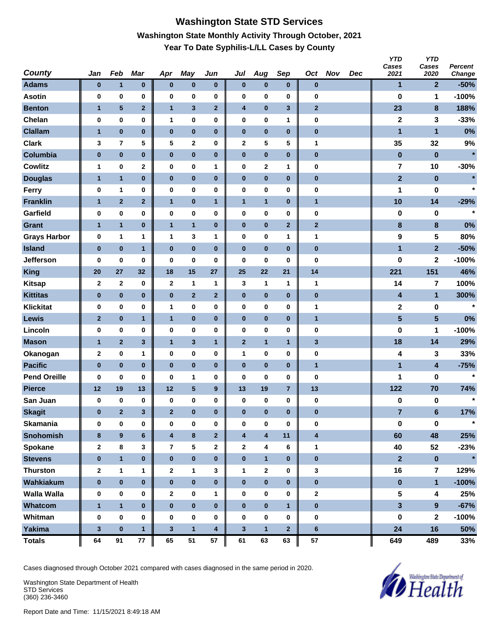## **Washington State STD Services Washington State Monthly Activity Through October, 2021 Year To Date Syphilis-L/LL Cases by County**

| <b>County</b>       | Jan          | Feb            | Mar          | Apr                     | <b>May</b>              | Jun          | Jul          | Aug          | Sep            | Oct                     | <b>Nov</b> | Dec | <b>YTD</b><br>Cases<br>2021 | <b>YTD</b><br>Cases<br>2020 | Percent<br>Change |
|---------------------|--------------|----------------|--------------|-------------------------|-------------------------|--------------|--------------|--------------|----------------|-------------------------|------------|-----|-----------------------------|-----------------------------|-------------------|
| <b>Adams</b>        | $\bf{0}$     | $\mathbf{1}$   | $\pmb{0}$    | $\pmb{0}$               | $\pmb{0}$               | 0            | $\bf{0}$     | $\pmb{0}$    | $\bf{0}$       | $\bf{0}$                |            |     | 1                           | $\overline{2}$              | $-50%$            |
| <b>Asotin</b>       | 0            | $\pmb{0}$      | 0            | 0                       | 0                       | 0            | 0            | 0            | 0              | 0                       |            |     | 0                           | 1                           | $-100%$           |
| <b>Benton</b>       | $\mathbf{1}$ | 5              | $\mathbf{2}$ | $\mathbf{1}$            | $\mathbf{3}$            | $\mathbf{2}$ | 4            | $\bf{0}$     | $\mathbf{3}$   | $\mathbf{2}$            |            |     | 23                          | $\bf8$                      | 188%              |
| Chelan              | 0            | 0              | $\pmb{0}$    | 1                       | 0                       | 0            | $\pmb{0}$    | 0            | 1              | $\pmb{0}$               |            |     | $\mathbf 2$                 | 3                           | $-33%$            |
| <b>Clallam</b>      | $\mathbf{1}$ | $\pmb{0}$      | $\bf{0}$     | $\pmb{0}$               | $\pmb{0}$               | $\pmb{0}$    | $\pmb{0}$    | $\pmb{0}$    | $\pmb{0}$      | $\pmb{0}$               |            |     | 1                           | $\mathbf{1}$                | 0%                |
| <b>Clark</b>        | 3            | 7              | 5            | 5                       | 2                       | 0            | 2            | 5            | 5              | 1                       |            |     | 35                          | 32                          | 9%                |
| Columbia            | $\pmb{0}$    | $\pmb{0}$      | $\pmb{0}$    | $\pmb{0}$               | $\pmb{0}$               | $\pmb{0}$    | $\pmb{0}$    | $\pmb{0}$    | $\pmb{0}$      | $\pmb{0}$               |            |     | $\bf{0}$                    | $\pmb{0}$                   | $\star$           |
| <b>Cowlitz</b>      | 1            | $\pmb{0}$      | 2            | 0                       | 0                       | 1            | $\pmb{0}$    | 2            | 1              | $\pmb{0}$               |            |     | 7                           | 10                          | $-30%$            |
| <b>Douglas</b>      | 1            | $\mathbf{1}$   | $\pmb{0}$    | $\pmb{0}$               | $\pmb{0}$               | $\pmb{0}$    | $\pmb{0}$    | $\pmb{0}$    | $\bf{0}$       | $\bf{0}$                |            |     | $\mathbf{2}$                | $\pmb{0}$                   |                   |
| Ferry               | 0            | 1              | 0            | $\pmb{0}$               | $\bf{0}$                | 0            | 0            | 0            | $\bf{0}$       | $\pmb{0}$               |            |     | 1                           | 0                           | $\star$           |
| <b>Franklin</b>     | $\mathbf{1}$ | $\mathbf{2}$   | $\mathbf 2$  | $\mathbf{1}$            | $\pmb{0}$               | 1            | $\mathbf{1}$ | $\mathbf{1}$ | $\pmb{0}$      | 1                       |            |     | 10                          | 14                          | $-29%$            |
| Garfield            | 0            | 0              | 0            | 0                       | 0                       | 0            | 0            | 0            | $\bf{0}$       | $\pmb{0}$               |            |     | 0                           | 0                           | $\star$           |
| <b>Grant</b>        | $\mathbf{1}$ | $\mathbf{1}$   | $\pmb{0}$    | $\mathbf{1}$            | $\mathbf{1}$            | $\pmb{0}$    | $\pmb{0}$    | $\bf{0}$     | $\mathbf{2}$   | $\mathbf{2}$            |            |     | $\bf8$                      | $\bf8$                      | 0%                |
| <b>Grays Harbor</b> | 0            | 1              | 1            | 1                       | 3                       | 1            | 0            | 0            | 1              | 1                       |            |     | 9                           | 5                           | 80%               |
| <b>Island</b>       | $\pmb{0}$    | $\pmb{0}$      | $\mathbf{1}$ | $\pmb{0}$               | $\pmb{0}$               | $\pmb{0}$    | $\pmb{0}$    | $\pmb{0}$    | $\bf{0}$       | $\pmb{0}$               |            |     | 1                           | $\overline{2}$              | $-50%$            |
| <b>Jefferson</b>    | 0            | 0              | 0            | 0                       | 0                       | 0            | 0            | 0            | 0              | $\bf{0}$                |            |     | 0                           | $\mathbf{2}$                | $-100%$           |
| <b>King</b>         | 20           | 27             | 32           | 18                      | 15                      | 27           | 25           | 22           | 21             | 14                      |            |     | 221                         | 151                         | 46%               |
| <b>Kitsap</b>       | $\mathbf 2$  | $\mathbf 2$    | 0            | $\mathbf{2}$            | 1                       | $\mathbf{1}$ | 3            | 1            | 1              | 1                       |            |     | 14                          | 7                           | 100%              |
| <b>Kittitas</b>     | $\pmb{0}$    | $\pmb{0}$      | $\pmb{0}$    | $\pmb{0}$               | $\mathbf{2}$            | $\mathbf{2}$ | $\pmb{0}$    | $\bf{0}$     | $\bf{0}$       | $\bf{0}$                |            |     | 4                           | $\mathbf{1}$                | 300%              |
| <b>Klickitat</b>    | 0            | $\bf{0}$       | 0            | 1                       | 0                       | 0            | 0            | 0            | $\bf{0}$       | 1                       |            |     | 2                           | 0                           | $\star$           |
| Lewis               | $\mathbf{2}$ | $\pmb{0}$      | $\mathbf{1}$ | $\mathbf{1}$            | $\pmb{0}$               | $\pmb{0}$    | $\pmb{0}$    | $\bf{0}$     | $\pmb{0}$      | $\mathbf{1}$            |            |     | $5\phantom{.0}$             | $\overline{\mathbf{5}}$     | 0%                |
| Lincoln             | 0            | 0              | 0            | 0                       | 0                       | 0            | 0            | 0            | 0              | $\pmb{0}$               |            |     | 0                           | 1                           | $-100%$           |
| <b>Mason</b>        | $\mathbf{1}$ | $\mathbf{2}$   | 3            | $\mathbf{1}$            | $\mathbf{3}$            | $\mathbf{1}$ | $\mathbf{2}$ | $\mathbf{1}$ | $\overline{1}$ | $\mathbf{3}$            |            |     | 18                          | 14                          | 29%               |
| Okanogan            | $\mathbf 2$  | 0              | 1            | 0                       | 0                       | 0            | 1            | 0            | $\bf{0}$       | $\pmb{0}$               |            |     | 4                           | 3                           | 33%               |
| <b>Pacific</b>      | $\pmb{0}$    | $\bf{0}$       | $\bf{0}$     | $\bf{0}$                | $\bf{0}$                | $\bf{0}$     | $\bf{0}$     | $\pmb{0}$    | $\bf{0}$       | $\mathbf{1}$            |            |     | $\mathbf{1}$                | $\overline{\mathbf{4}}$     | $-75%$            |
| <b>Pend Oreille</b> | 0            | 0              | 0            | 0                       | 1                       | 0            | 0            | 0            | 0              | 0                       |            |     | 1                           | 0                           | $\star$           |
| <b>Pierce</b>       | 12           | 19             | 13           | 12                      | ${\bf 5}$               | 9            | 13           | 19           | $\overline{7}$ | 13                      |            |     | 122                         | 70                          | 74%               |
| San Juan            | 0            | $\pmb{0}$      | 0            | 0                       | 0                       | $\pmb{0}$    | 0            | 0            | 0              | $\pmb{0}$               |            |     | 0                           | 0                           | $\star$           |
| <b>Skagit</b>       | $\bf{0}$     | $\overline{2}$ | 3            | $\overline{2}$          | $\pmb{0}$               | $\bf{0}$     | $\bf{0}$     | $\bf{0}$     | $\bf{0}$       | $\pmb{0}$               |            |     | $\overline{7}$              | $6\phantom{1}$              | 17%               |
| <b>Skamania</b>     | 0            | 0              | $\pmb{0}$    | $\bf{0}$                | 0                       | 0            | $\pmb{0}$    | 0            | $\bf{0}$       | $\bf{0}$                |            |     | $\pmb{0}$                   | $\mathbf 0$                 | $\star$           |
| <b>Snohomish</b>    | 8            | $\pmb{9}$      | $\bf 6$      | $\overline{\mathbf{4}}$ | $\bf8$                  | $\mathbf{2}$ | 4            | 4            | 11             | $\overline{\mathbf{4}}$ |            |     | 60                          | 48                          | 25%               |
| <b>Spokane</b>      | $\mathbf{2}$ | 8              | 3            | 7                       | $\overline{\mathbf{5}}$ | 2            | $\mathbf{2}$ | 4            | 6              | 1                       |            |     | 40                          | 52                          | $-23%$            |
| <b>Stevens</b>      | $\pmb{0}$    | $\mathbf{1}$   | $\pmb{0}$    | $\bf{0}$                | $\pmb{0}$               | $\pmb{0}$    | $\pmb{0}$    | $\mathbf{1}$ | $\pmb{0}$      | $\pmb{0}$               |            |     | $\overline{\mathbf{2}}$     | $\pmb{0}$                   | $\star$           |
| <b>Thurston</b>     | $\mathbf{2}$ | 1              | 1            | $\mathbf{2}$            | $\mathbf{1}$            | 3            | $\mathbf{1}$ | 2            | 0              | 3                       |            |     | 16                          | $\overline{7}$              | 129%              |
| Wahkiakum           | $\pmb{0}$    | $\pmb{0}$      | $\bf{0}$     | $\pmb{0}$               | $\pmb{0}$               | $\pmb{0}$    | $\pmb{0}$    | $\pmb{0}$    | $\bf{0}$       | $\pmb{0}$               |            |     | $\pmb{0}$                   | $\mathbf{1}$                | $-100%$           |
| <b>Walla Walla</b>  | 0            | 0              | 0            | $\mathbf{2}$            | 0                       | 1            | $\pmb{0}$    | 0            | 0              | $\mathbf 2$             |            |     | ${\bf 5}$                   | 4                           | 25%               |
| Whatcom             | $\mathbf{1}$ | $\mathbf{1}$   | $\bf{0}$     | $\bf{0}$                | $\pmb{0}$               | $\pmb{0}$    | $\bf{0}$     | $\pmb{0}$    | $\mathbf{1}$   | $\pmb{0}$               |            |     | $\mathbf{3}$                | $\overline{9}$              | $-67%$            |
| Whitman             | $\pmb{0}$    | $\bf{0}$       | $\bf{0}$     | $\boldsymbol{0}$        | 0                       | $\pmb{0}$    | $\pmb{0}$    | 0            | 0              | $\boldsymbol{0}$        |            |     | $\pmb{0}$                   | 2                           | $-100%$           |
| Yakima              | $\mathbf 3$  | $\pmb{0}$      | $\mathbf{1}$ | $\mathbf{3}$            | $\mathbf{1}$            | 4            | $\mathbf{3}$ | $\mathbf{1}$ | $\mathbf{2}$   | $6\phantom{1}$          |            |     | 24                          | 16                          | 50%               |
| <b>Totals</b>       | 64           | 91             | 77           | 65                      | 51                      | 57           | 61           | 63           | 63             | 57                      |            |     | 649                         | 489                         | 33%               |

Cases diagnosed through October 2021 compared with cases diagnosed in the same period in 2020.

Washington State Department of Health STD Services (360) 236-3460